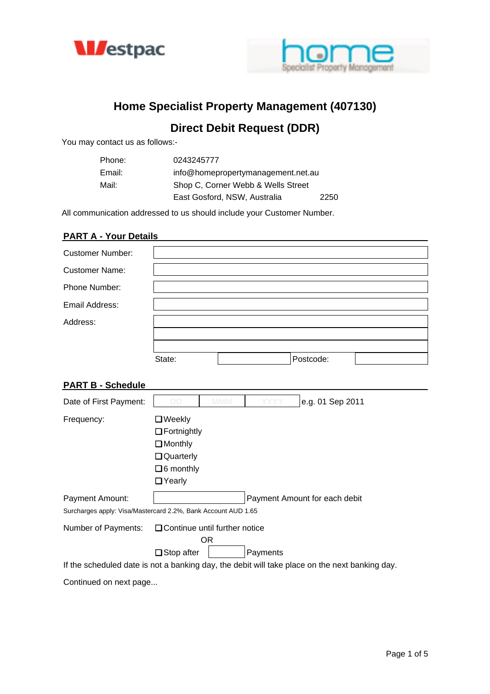



# **Home Specialist Property Management (407130)**

## **Direct Debit Request (DDR)**

You may contact us as follows:-

| Phone: | 0243245777                         |      |
|--------|------------------------------------|------|
| Email: | info@homepropertymanagement.net.au |      |
| Mail:  | Shop C, Corner Webb & Wells Street |      |
|        | East Gosford, NSW, Australia       | 2250 |

All communication addressed to us should include your Customer Number.

## **PART A - Your Details**

| <b>Customer Number:</b> |        |           |  |
|-------------------------|--------|-----------|--|
| <b>Customer Name:</b>   |        |           |  |
| Phone Number:           |        |           |  |
| Email Address:          |        |           |  |
| Address:                |        |           |  |
|                         |        |           |  |
|                         |        |           |  |
|                         | State: | Postcode: |  |

## **PART B - Schedule**

| Date of First Payment:                                        | DD                                   | MMM |          | e.g. 01 Sep 2011                                                                               |
|---------------------------------------------------------------|--------------------------------------|-----|----------|------------------------------------------------------------------------------------------------|
| Frequency:                                                    | $\Box$ Weekly                        |     |          |                                                                                                |
|                                                               | $\Box$ Fortnightly                   |     |          |                                                                                                |
|                                                               | $\Box$ Monthly                       |     |          |                                                                                                |
|                                                               | Quarterly                            |     |          |                                                                                                |
|                                                               | $\Box$ 6 monthly                     |     |          |                                                                                                |
|                                                               | □ Yearly                             |     |          |                                                                                                |
| Payment Amount:                                               |                                      |     |          | Payment Amount for each debit                                                                  |
| Surcharges apply: Visa/Mastercard 2.2%, Bank Account AUD 1.65 |                                      |     |          |                                                                                                |
| Number of Payments:                                           | $\Box$ Continue until further notice |     |          |                                                                                                |
|                                                               |                                      | OR. |          |                                                                                                |
|                                                               | $\Box$ Stop after                    |     | Payments |                                                                                                |
|                                                               |                                      |     |          | If the scheduled date is not a banking day, the debit will take place on the next banking day. |

Continued on next page...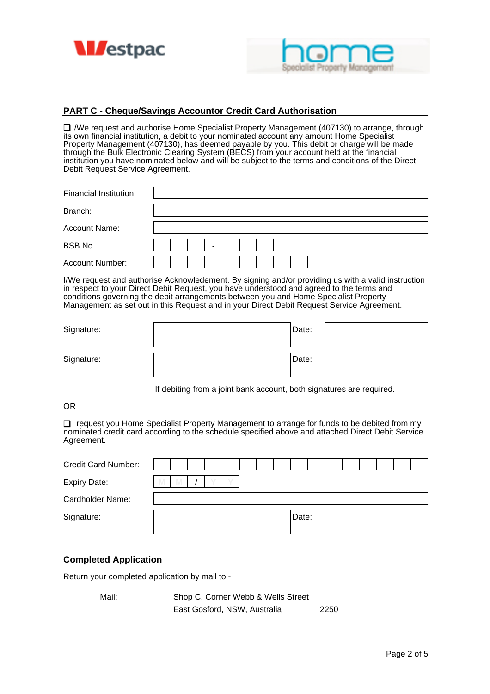



## **PART C - Cheque/Savings Accountor Credit Card Authorisation**

❏ I/We request and authorise Home Specialist Property Management (407130) to arrange, through its own financial institution, a debit to your nominated account any amount Home Specialist Property Management (407130), has deemed payable by you. This debit or charge will be made through the Bulk Electronic Clearing System (BECS) from your account held at the financial institution you have nominated below and will be subject to the terms and conditions of the Direct Debit Request Service Agreement.

| Financial Institution: |   |
|------------------------|---|
| Branch:                |   |
| <b>Account Name:</b>   |   |
| BSB No.                | - |
| Account Number:        |   |

I/We request and authorise Acknowledement. By signing and/or providing us with a valid instruction in respect to your Direct Debit Request, you have understood and agreed to the terms and conditions governing the debit arrangements between you and Home Specialist Property Management as set out in this Request and in your Direct Debit Request Service Agreement.

| Signature: | Date: |  |
|------------|-------|--|
| Signature: | Date: |  |

If debiting from a joint bank account, both signatures are required.

## OR

❏ I request you Home Specialist Property Management to arrange for funds to be debited from my nominated credit card according to the schedule specified above and attached Direct Debit Service Agreement.

| <b>Credit Card Number:</b> |   |              |  |  |  |       |  |  |  |  |
|----------------------------|---|--------------|--|--|--|-------|--|--|--|--|
| <b>Expiry Date:</b>        | M | $\mathbf{M}$ |  |  |  |       |  |  |  |  |
| Cardholder Name:           |   |              |  |  |  |       |  |  |  |  |
| Signature:                 |   |              |  |  |  | Date: |  |  |  |  |

#### **Completed Application**

Return your completed application by mail to:-

Mail: Shop C, Corner Webb & Wells Street East Gosford, NSW, Australia 2250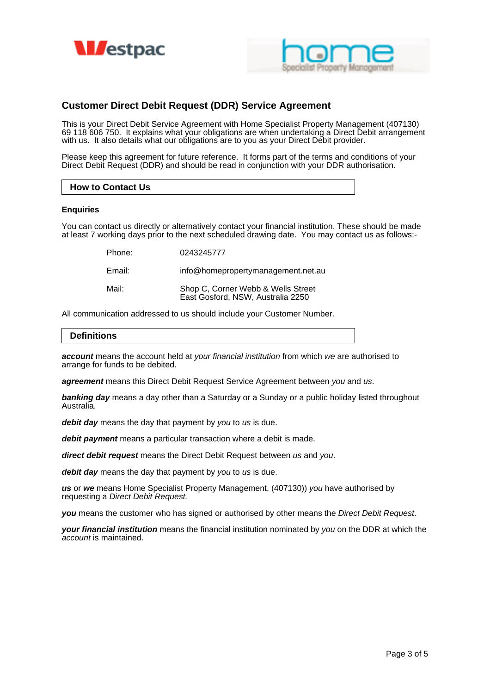



## **Customer Direct Debit Request (DDR) Service Agreement**

This is your Direct Debit Service Agreement with Home Specialist Property Management (407130) 69 118 606 750. It explains what your obligations are when undertaking a Direct Debit arrangement with us. It also details what our obligations are to you as your Direct Debit provider.

Please keep this agreement for future reference. It forms part of the terms and conditions of your Direct Debit Request (DDR) and should be read in conjunction with your DDR authorisation.

#### **How to Contact Us**

#### **Enquiries**

You can contact us directly or alternatively contact your financial institution. These should be made at least 7 working days prior to the next scheduled drawing date. You may contact us as follows:-

Phone: 0243245777

Email: info@homepropertymanagement.net.au

Mail: Shop C, Corner Webb & Wells Street East Gosford, NSW, Australia 2250

All communication addressed to us should include your Customer Number.

#### **Definitions**

**account** means the account held at your financial institution from which we are authorised to arrange for funds to be debited.

**agreement** means this Direct Debit Request Service Agreement between you and us.

**banking day** means a day other than a Saturday or a Sunday or a public holiday listed throughout Australia.

debit day means the day that payment by you to us is due.

**debit payment** means a particular transaction where a debit is made.

**direct debit request** means the Direct Debit Request between us and you.

debit day means the day that payment by you to us is due.

**us** or **we** means Home Specialist Property Management, (407130)) you have authorised by requesting a Direct Debit Request.

**you** means the customer who has signed or authorised by other means the Direct Debit Request.

**your financial institution** means the financial institution nominated by you on the DDR at which the account is maintained.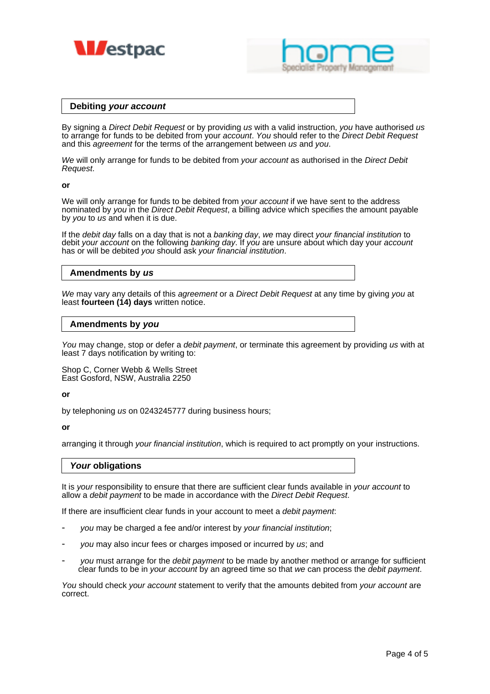



#### **Debiting your account**

By signing a Direct Debit Request or by providing us with a valid instruction, you have authorised us to arrange for funds to be debited from your *account. You* should refer to the *Direct Debit Request* and this *agreement* for the terms of the arrangement between us and you.

We will only arrange for funds to be debited from your account as authorised in the Direct Debit Request.

#### **or**

We will only arrange for funds to be debited from your account if we have sent to the address nominated by you in the Direct Debit Request, a billing advice which specifies the amount payable by you to us and when it is due.

If the *debit day* falls on a day that is not a banking day, we may direct your financial institution to debit your account on the following banking day. If you are unsure about which day your account has or will be debited you should ask your financial institution.

## **Amendments by us**

We may vary any details of this agreement or a Direct Debit Request at any time by giving you at least **fourteen (14) days** written notice.

## **Amendments by you**

You may change, stop or defer a debit payment, or terminate this agreement by providing us with at least 7 days notification by writing to:

Shop C, Corner Webb & Wells Street East Gosford, NSW, Australia 2250

#### **or**

by telephoning us on 0243245777 during business hours;

#### **or**

arranging it through your financial institution, which is required to act promptly on your instructions.

#### **Your obligations**

It is your responsibility to ensure that there are sufficient clear funds available in your account to allow a debit payment to be made in accordance with the Direct Debit Request.

If there are insufficient clear funds in your account to meet a debit payment.

- you may be charged a fee and/or interest by your financial institution;
- you may also incur fees or charges imposed or incurred by us; and
- you must arrange for the *debit payment* to be made by another method or arrange for sufficient clear funds to be in your account by an agreed time so that we can process the debit payment.

You should check your account statement to verify that the amounts debited from your account are correct.